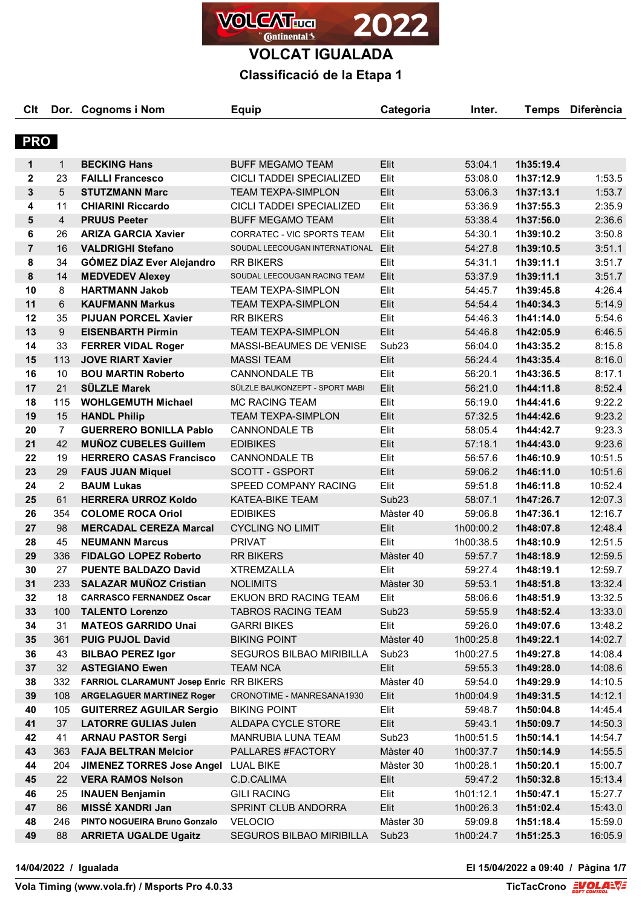

## **Classificació de la Etapa 1**

| C <sub>it</sub>         |                | Dor. Cognoms i Nom                      | <b>Equip</b>                    | Categoria         | Inter.    | <b>Temps</b> | <b>Diferència</b> |
|-------------------------|----------------|-----------------------------------------|---------------------------------|-------------------|-----------|--------------|-------------------|
|                         |                |                                         |                                 |                   |           |              |                   |
| <b>PRO</b>              |                |                                         |                                 |                   |           |              |                   |
| 1                       | $\mathbf{1}$   | <b>BECKING Hans</b>                     | <b>BUFF MEGAMO TEAM</b>         | Elit              | 53:04.1   | 1h35:19.4    |                   |
| $\overline{\mathbf{2}}$ | 23             | <b>FAILLI Francesco</b>                 | CICLI TADDEI SPECIALIZED        | Elit              | 53:08.0   | 1h37:12.9    | 1:53.5            |
| $\mathbf{3}$            | 5              | <b>STUTZMANN Marc</b>                   | <b>TEAM TEXPA-SIMPLON</b>       | Elit              | 53:06.3   | 1h37:13.1    | 1:53.7            |
| 4                       | 11             | <b>CHIARINI Riccardo</b>                | CICLI TADDEI SPECIALIZED        | Elit              | 53:36.9   | 1h37:55.3    | 2:35.9            |
| 5                       | $\overline{4}$ | <b>PRUUS Peeter</b>                     | <b>BUFF MEGAMO TEAM</b>         | Elit              | 53:38.4   | 1h37:56.0    | 2:36.6            |
| 6                       | 26             | <b>ARIZA GARCIA Xavier</b>              | CORRATEC - VIC SPORTS TEAM      | Elit              | 54:30.1   | 1h39:10.2    | 3:50.8            |
| $\overline{7}$          | 16             | <b>VALDRIGHI Stefano</b>                | SOUDAL LEECOUGAN INTERNATIONAL  | Elit              | 54:27.8   | 1h39:10.5    | 3:51.1            |
| 8                       | 34             | <b>GÓMEZ DÍAZ Ever Alejandro</b>        | <b>RR BIKERS</b>                | Elit              | 54:31.1   | 1h39:11.1    | 3:51.7            |
| 8                       | 14             | <b>MEDVEDEV Alexey</b>                  | SOUDAL LEECOUGAN RACING TEAM    | Elit              | 53:37.9   | 1h39:11.1    | 3:51.7            |
| 10                      | 8              | <b>HARTMANN Jakob</b>                   | <b>TEAM TEXPA-SIMPLON</b>       | Elit              | 54:45.7   | 1h39:45.8    | 4:26.4            |
| 11                      | 6              | <b>KAUFMANN Markus</b>                  | <b>TEAM TEXPA-SIMPLON</b>       | Elit              | 54:54.4   | 1h40:34.3    | 5:14.9            |
| 12                      | 35             | <b>PIJUAN PORCEL Xavier</b>             | <b>RR BIKERS</b>                | Elit              | 54:46.3   | 1h41:14.0    | 5:54.6            |
| 13                      | 9              | <b>EISENBARTH Pirmin</b>                | <b>TEAM TEXPA-SIMPLON</b>       | Elit              | 54:46.8   | 1h42:05.9    | 6:46.5            |
| 14                      | 33             | <b>FERRER VIDAL Roger</b>               | MASSI-BEAUMES DE VENISE         | Sub <sub>23</sub> | 56:04.0   | 1h43:35.2    | 8:15.8            |
| 15                      | 113            | <b>JOVE RIART Xavier</b>                | <b>MASSI TEAM</b>               | Elit              | 56:24.4   | 1h43:35.4    | 8:16.0            |
| 16                      | 10             | <b>BOU MARTIN Roberto</b>               | <b>CANNONDALE TB</b>            | Elit              | 56:20.1   | 1h43:36.5    | 8:17.1            |
| 17                      | 21             | <b>SÜLZLE Marek</b>                     | SÜLZLE BAUKONZEPT - SPORT MABI  | Elit              | 56:21.0   | 1h44:11.8    | 8:52.4            |
| 18                      | 115            | <b>WOHLGEMUTH Michael</b>               | <b>MC RACING TEAM</b>           | Elit              | 56:19.0   | 1h44:41.6    | 9:22.2            |
| 19                      | 15             | <b>HANDL Philip</b>                     | <b>TEAM TEXPA-SIMPLON</b>       | Elit              | 57:32.5   | 1h44:42.6    | 9:23.2            |
| 20                      | $\overline{7}$ | <b>GUERRERO BONILLA Pablo</b>           | <b>CANNONDALE TB</b>            | Elit              | 58:05.4   | 1h44:42.7    | 9:23.3            |
| 21                      | 42             | <b>MUÑOZ CUBELES Guillem</b>            | <b>EDIBIKES</b>                 | Elit              | 57:18.1   | 1h44:43.0    | 9:23.6            |
| 22                      | 19             | <b>HERRERO CASAS Francisco</b>          | <b>CANNONDALE TB</b>            | Elit              | 56:57.6   | 1h46:10.9    | 10:51.5           |
| 23                      | 29             | <b>FAUS JUAN Miquel</b>                 | <b>SCOTT - GSPORT</b>           | Elit              | 59:06.2   | 1h46:11.0    | 10:51.6           |
| 24                      | $\overline{2}$ | <b>BAUM Lukas</b>                       | SPEED COMPANY RACING            | Elit              | 59:51.8   | 1h46:11.8    | 10:52.4           |
| 25                      | 61             | <b>HERRERA URROZ Koldo</b>              | KATEA-BIKE TEAM                 | Sub <sub>23</sub> | 58:07.1   | 1h47:26.7    | 12:07.3           |
| 26                      | 354            | <b>COLOME ROCA Oriol</b>                | <b>EDIBIKES</b>                 | Màster 40         | 59:06.8   | 1h47:36.1    | 12:16.7           |
| 27                      | 98             | <b>MERCADAL CEREZA Marcal</b>           | <b>CYCLING NO LIMIT</b>         | Elit              | 1h00:00.2 | 1h48:07.8    | 12:48.4           |
| 28                      | 45             | <b>NEUMANN Marcus</b>                   | <b>PRIVAT</b>                   | Elit              | 1h00:38.5 | 1h48:10.9    | 12:51.5           |
| 29                      | 336            | <b>FIDALGO LOPEZ Roberto</b>            | <b>RR BIKERS</b>                | Màster 40         | 59:57.7   | 1h48:18.9    | 12:59.5           |
| 30                      | 27             | <b>PUENTE BALDAZO David</b>             | <b>XTREMZALLA</b>               | Elit              | 59:27.4   | 1h48:19.1    | 12:59.7           |
| 31                      | 233            | <b>SALAZAR MUÑOZ Cristian</b>           | <b>NOLIMITS</b>                 | Màster 30         | 59:53.1   | 1h48:51.8    | 13:32.4           |
| 32                      | 18             | <b>CARRASCO FERNANDEZ Oscar</b>         | EKUON BRD RACING TEAM           | Elit              | 58:06.6   | 1h48:51.9    | 13:32.5           |
| 33                      | 100            | <b>TALENTO Lorenzo</b>                  | <b>TABROS RACING TEAM</b>       | Sub <sub>23</sub> | 59:55.9   | 1h48:52.4    | 13:33.0           |
| 34                      | 31             | <b>MATEOS GARRIDO Unai</b>              | <b>GARRI BIKES</b>              | Elit              | 59:26.0   | 1h49:07.6    | 13:48.2           |
| 35                      | 361            | <b>PUIG PUJOL David</b>                 | <b>BIKING POINT</b>             | Màster 40         | 1h00:25.8 | 1h49:22.1    | 14:02.7           |
| 36                      | 43             | <b>BILBAO PEREZ Igor</b>                | <b>SEGUROS BILBAO MIRIBILLA</b> | Sub <sub>23</sub> | 1h00:27.5 | 1h49:27.8    | 14:08.4           |
| 37                      | 32             | <b>ASTEGIANO Ewen</b>                   | <b>TEAM NCA</b>                 | Elit              | 59:55.3   | 1h49:28.0    | 14:08.6           |
| 38                      | 332            | FARRIOL CLARAMUNT Josep Enric RR BIKERS |                                 | Màster 40         | 59:54.0   | 1h49:29.9    | 14:10.5           |
| 39                      | 108            | <b>ARGELAGUER MARTINEZ Roger</b>        | CRONOTIME - MANRESANA1930       | Elit              | 1h00:04.9 | 1h49:31.5    | 14:12.1           |
| 40                      | 105            | <b>GUITERREZ AGUILAR Sergio</b>         | <b>BIKING POINT</b>             | Elit              | 59:48.7   | 1h50:04.8    | 14:45.4           |
| 41                      | 37             | <b>LATORRE GULIAS Julen</b>             | ALDAPA CYCLE STORE              | Elit              | 59:43.1   | 1h50:09.7    | 14:50.3           |
| 42                      | 41             | <b>ARNAU PASTOR Sergi</b>               | MANRUBIA LUNA TEAM              | Sub <sub>23</sub> | 1h00:51.5 | 1h50:14.1    | 14:54.7           |
| 43                      | 363            | <b>FAJA BELTRAN Melcior</b>             | PALLARES #FACTORY               | Màster 40         | 1h00:37.7 | 1h50:14.9    | 14:55.5           |
| 44                      | 204            | <b>JIMENEZ TORRES Jose Angel</b>        | LUAL BIKE                       | Màster 30         | 1h00:28.1 | 1h50:20.1    | 15:00.7           |
| 45                      | 22             | <b>VERA RAMOS Nelson</b>                | C.D.CALIMA                      | Elit              | 59:47.2   | 1h50:32.8    | 15:13.4           |
| 46                      | 25             | <b>INAUEN Benjamin</b>                  | <b>GILI RACING</b>              | Elit              | 1h01:12.1 | 1h50:47.1    | 15:27.7           |
| 47                      | 86             | MISSÉ XANDRI Jan                        | SPRINT CLUB ANDORRA             | Elit              | 1h00:26.3 | 1h51:02.4    | 15:43.0           |
| 48                      | 246            | PINTO NOGUEIRA Bruno Gonzalo            | <b>VELOCIO</b>                  | Màster 30         | 59:09.8   | 1h51:18.4    | 15:59.0           |
| 49                      | 88             | <b>ARRIETA UGALDE Ugaitz</b>            | SEGUROS BILBAO MIRIBILLA        | Sub <sub>23</sub> | 1h00:24.7 | 1h51:25.3    | 16:05.9           |

**14/04/2022 / Igualada El 15/04/2022 a 09:40 / Pàgina 1/7**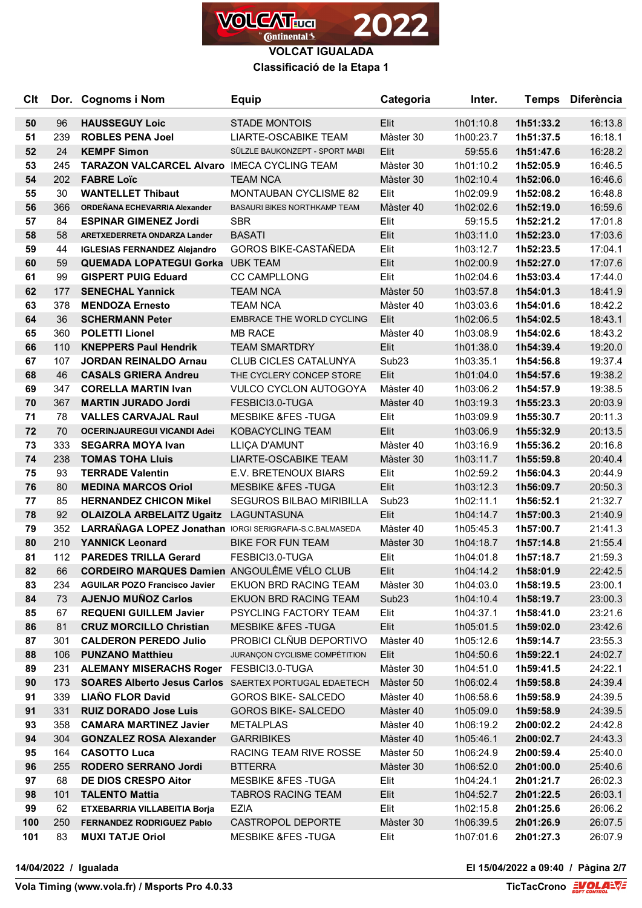

**Classificació de la Etapa 1**

| Clt      |            | Dor. Cognoms i Nom                                                 | <b>Equip</b>                                             | Categoria         | Inter.                 |                        | Temps Diferència   |
|----------|------------|--------------------------------------------------------------------|----------------------------------------------------------|-------------------|------------------------|------------------------|--------------------|
| 50       | 96         | <b>HAUSSEGUY Loic</b>                                              | <b>STADE MONTOIS</b>                                     | Elit              | 1h01:10.8              | 1h51:33.2              | 16:13.8            |
| 51       | 239        | <b>ROBLES PENA Joel</b>                                            | <b>LIARTE-OSCABIKE TEAM</b>                              | Màster 30         | 1h00:23.7              | 1h51:37.5              | 16:18.1            |
| 52       | 24         | <b>KEMPF Simon</b>                                                 | SÜLZLE BAUKONZEPT - SPORT MABI                           | Elit              | 59:55.6                | 1h51:47.6              | 16:28.2            |
| 53       | 245        | <b>TARAZON VALCARCEL AIvaro IMECA CYCLING TEAM</b>                 |                                                          | Màster 30         | 1h01:10.2              | 1h52:05.9              | 16:46.5            |
| 54       | 202        | <b>FABRE Loïc</b>                                                  | <b>TEAM NCA</b>                                          | Màster 30         | 1h02:10.4              | 1h52:06.0              | 16:46.6            |
| 55       | 30         | <b>WANTELLET Thibaut</b>                                           | <b>MONTAUBAN CYCLISME 82</b>                             | Elit              | 1h02:09.9              | 1h52:08.2              | 16:48.8            |
| 56       | 366        | ORDEÑANA ECHEVARRIA Alexander                                      | <b>BASAURI BIKES NORTHKAMP TEAM</b>                      | Màster 40         | 1h02:02.6              | 1h52:19.0              | 16:59.6            |
| 57       | 84         | <b>ESPINAR GIMENEZ Jordi</b>                                       | <b>SBR</b>                                               | Elit              | 59:15.5                | 1h52:21.2              | 17:01.8            |
| 58       | 58         | ARETXEDERRETA ONDARZA Lander                                       | <b>BASATI</b>                                            | Elit              | 1h03:11.0              | 1h52:23.0              | 17:03.6            |
| 59       | 44         | <b>IGLESIAS FERNANDEZ Alejandro</b>                                | <b>GOROS BIKE-CASTAÑEDA</b>                              | Elit              | 1h03:12.7              | 1h52:23.5              | 17:04.1            |
| 60       | 59         | <b>QUEMADA LOPATEGUI Gorka</b>                                     | <b>UBK TEAM</b>                                          | Elit              | 1h02:00.9              | 1h52:27.0              | 17:07.6            |
| 61       | 99         | <b>GISPERT PUIG Eduard</b>                                         | <b>CC CAMPLLONG</b>                                      | Elit              | 1h02:04.6              | 1h53:03.4              | 17:44.0            |
| 62       | 177        | <b>SENECHAL Yannick</b>                                            | <b>TEAM NCA</b>                                          | Màster 50         | 1h03:57.8              | 1h54:01.3              | 18:41.9            |
| 63       | 378        | <b>MENDOZA Ernesto</b>                                             | <b>TEAM NCA</b>                                          | Màster 40         | 1h03:03.6              | 1h54:01.6              | 18:42.2            |
| 64       | 36         | <b>SCHERMANN Peter</b>                                             | <b>EMBRACE THE WORLD CYCLING</b>                         | Elit              | 1h02:06.5              | 1h54:02.5              | 18:43.1            |
| 65       | 360        | <b>POLETTI Lionel</b>                                              | <b>MB RACE</b>                                           | Màster 40         | 1h03:08.9              | 1h54:02.6              | 18:43.2            |
| 66       | 110        | <b>KNEPPERS Paul Hendrik</b>                                       | <b>TEAM SMARTDRY</b>                                     | Elit              | 1h01:38.0              | 1h54:39.4              | 19:20.0            |
| 67       | 107        | <b>JORDAN REINALDO Arnau</b>                                       | <b>CLUB CICLES CATALUNYA</b>                             | Sub <sub>23</sub> | 1h03:35.1              | 1h54:56.8              | 19:37.4            |
| 68       | 46         | <b>CASALS GRIERA Andreu</b>                                        | THE CYCLERY CONCEP STORE                                 | Elit              | 1h01:04.0              | 1h54:57.6              | 19:38.2            |
| 69       | 347        | <b>CORELLA MARTIN Ivan</b>                                         | <b>VULCO CYCLON AUTOGOYA</b>                             | Màster 40         | 1h03:06.2              | 1h54:57.9              | 19:38.5            |
| 70       | 367        | <b>MARTIN JURADO Jordi</b>                                         | FESBICI3.0-TUGA                                          | Màster 40         | 1h03:19.3              | 1h55:23.3              | 20:03.9            |
| 71       | 78         | <b>VALLES CARVAJAL Raul</b>                                        | <b>MESBIKE &amp;FES-TUGA</b>                             | Elit              | 1h03:09.9              | 1h55:30.7              | 20:11.3            |
| 72       | 70         | <b>OCERINJAUREGUI VICANDI Adei</b>                                 | <b>KOBACYCLING TEAM</b>                                  | Elit              | 1h03:06.9              | 1h55:32.9              | 20:13.5            |
| 73       | 333        | <b>SEGARRA MOYA Ivan</b>                                           | LLIÇA D'AMUNT                                            | Màster 40         | 1h03:16.9              | 1h55:36.2              | 20:16.8            |
| 74       | 238        | <b>TOMAS TOHA Lluis</b>                                            | <b>LIARTE-OSCABIKE TEAM</b>                              | Màster 30         | 1h03:11.7              | 1h55:59.8              | 20:40.4            |
| 75       | 93         | <b>TERRADE Valentin</b>                                            | E.V. BRETENOUX BIARS                                     | Elit              | 1h02:59.2              | 1h56:04.3              | 20:44.9            |
| 76       | 80         | <b>MEDINA MARCOS Oriol</b>                                         | <b>MESBIKE &amp;FES-TUGA</b>                             | Elit              | 1h03:12.3              | 1h56:09.7              | 20:50.3            |
| 77       | 85         | <b>HERNANDEZ CHICON Mikel</b>                                      | <b>SEGUROS BILBAO MIRIBILLA</b>                          | Sub <sub>23</sub> | 1h02:11.1              | 1h56:52.1              | 21:32.7            |
| 78       | 92         | <b>OLAIZOLA ARBELAITZ Ugaitz</b>                                   | LAGUNTASUNA                                              | Elit              | 1h04:14.7              | 1h57:00.3              | 21:40.9            |
| 79       | 352        | LARRAÑAGA LOPEZ Jonathan IORGI SERIGRAFIA-S.C.BALMASEDA            |                                                          | Màster 40         | 1h05:45.3              | 1h57:00.7              | 21:41.3            |
| 80       | 210        | <b>YANNICK Leonard</b>                                             | <b>BIKE FOR FUN TEAM</b>                                 | Màster 30         | 1h04:18.7              | 1h57:14.8              | 21:55.4            |
| 81       | 112        | <b>PAREDES TRILLA Gerard</b>                                       | FESBICI3.0-TUGA                                          | Elit              | 1h04:01.8              | 1h57:18.7              | 21:59.3            |
| 82       | 66         | <b>CORDEIRO MARQUES Damien ANGOULÊME VÉLO CLUB</b>                 |                                                          | Elit              | 1h04:14.2              | 1h58:01.9              | 22:42.5            |
| 83       | 234        | <b>AGUILAR POZO Francisco Javier</b>                               | EKUON BRD RACING TEAM                                    | Màster 30         | 1h04:03.0              | 1h58:19.5              | 23:00.1            |
| 84       | 73         | <b>AJENJO MUÑOZ Carlos</b>                                         | EKUON BRD RACING TEAM                                    | Sub <sub>23</sub> | 1h04:10.4              | 1h58:19.7              | 23:00.3            |
| 85       | 67         | <b>REQUENI GUILLEM Javier</b>                                      | PSYCLING FACTORY TEAM                                    | Elit              | 1h04:37.1              | 1h58:41.0              | 23:21.6            |
| 86       | 81         | <b>CRUZ MORCILLO Christian</b>                                     | <b>MESBIKE &amp;FES-TUGA</b>                             | Elit              | 1h05:01.5              | 1h59:02.0              | 23:42.6            |
| 87       | 301        | <b>CALDERON PEREDO Julio</b>                                       | PROBICI CLÑUB DEPORTIVO<br>JURANÇON CYCLISME COMPÉTITION | Màster 40         | 1h05:12.6              | 1h59:14.7              | 23:55.3            |
| 88       | 106        | <b>PUNZANO Matthieu</b><br>ALEMANY MISERACHS Roger FESBICI3.0-TUGA |                                                          | Elit<br>Màster 30 | 1h04:50.6              | 1h59:22.1<br>1h59:41.5 | 24:02.7            |
| 89<br>90 | 231<br>173 | <b>SOARES Alberto Jesus Carlos</b> SAERTEX PORTUGAL EDAETECH       |                                                          | Màster 50         | 1h04:51.0<br>1h06:02.4 | 1h59:58.8              | 24:22.1<br>24:39.4 |
| 91       | 339        | <b>LIAÑO FLOR David</b>                                            | <b>GOROS BIKE- SALCEDO</b>                               | Màster 40         | 1h06:58.6              | 1h59:58.9              | 24:39.5            |
| 91       | 331        | <b>RUIZ DORADO Jose Luis</b>                                       | <b>GOROS BIKE- SALCEDO</b>                               | Màster 40         | 1h05:09.0              | 1h59:58.9              | 24:39.5            |
| 93       | 358        | <b>CAMARA MARTINEZ Javier</b>                                      | <b>METALPLAS</b>                                         | Màster 40         | 1h06:19.2              | 2h00:02.2              | 24:42.8            |
| 94       | 304        | <b>GONZALEZ ROSA Alexander</b>                                     | <b>GARRIBIKES</b>                                        | Màster 40         | 1h05:46.1              | 2h00:02.7              | 24:43.3            |
| 95       | 164        | <b>CASOTTO Luca</b>                                                | RACING TEAM RIVE ROSSE                                   | Màster 50         | 1h06:24.9              | 2h00:59.4              | 25:40.0            |
| 96       | 255        | RODERO SERRANO Jordi                                               | <b>BTTERRA</b>                                           | Màster 30         | 1h06:52.0              | 2h01:00.0              | 25:40.6            |
| 97       | 68         | <b>DE DIOS CRESPO Aitor</b>                                        | <b>MESBIKE &amp;FES -TUGA</b>                            | Elit              | 1h04:24.1              | 2h01:21.7              | 26:02.3            |
| 98       | 101        | <b>TALENTO Mattia</b>                                              | <b>TABROS RACING TEAM</b>                                | Elit              | 1h04:52.7              | 2h01:22.5              | 26:03.1            |
| 99       | 62         | ETXEBARRIA VILLABEITIA Borja                                       | EZIA                                                     | Elit              | 1h02:15.8              | 2h01:25.6              | 26:06.2            |
| 100      | 250        | <b>FERNANDEZ RODRIGUEZ Pablo</b>                                   | CASTROPOL DEPORTE                                        | Màster 30         | 1h06:39.5              | 2h01:26.9              | 26:07.5            |
| 101      | 83         | <b>MUXI TATJE Oriol</b>                                            | MESBIKE &FES -TUGA                                       | Elit              | 1h07:01.6              | 2h01:27.3              | 26:07.9            |
|          |            |                                                                    |                                                          |                   |                        |                        |                    |

**14/04/2022 / Igualada El 15/04/2022 a 09:40 / Pàgina 2/7**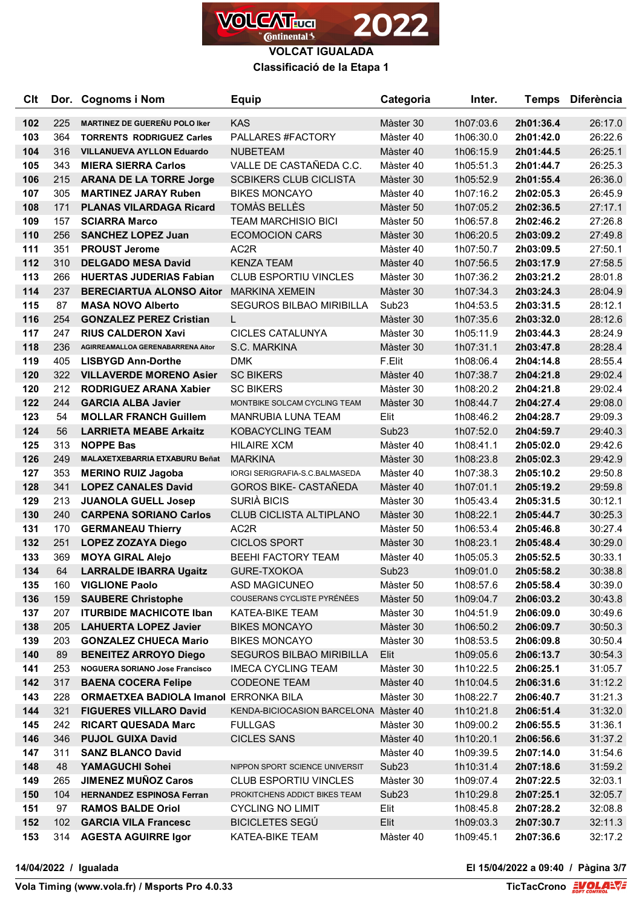

**VOLCAT IGUALADA Classificació de la Etapa 1**

| Clt        |            | Dor. Cognoms i Nom                                                    | <b>Equip</b>                                             | Categoria                      | Inter.                 |                        | Temps Diferència   |
|------------|------------|-----------------------------------------------------------------------|----------------------------------------------------------|--------------------------------|------------------------|------------------------|--------------------|
| 102        | 225        | <b>MARTINEZ DE GUEREÑU POLO Iker</b>                                  | KAS                                                      | Màster 30                      | 1h07:03.6              | 2h01:36.4              | 26:17.0            |
| 103        | 364        | <b>TORRENTS RODRIGUEZ Carles</b>                                      | PALLARES #FACTORY                                        | Màster 40                      | 1h06:30.0              | 2h01:42.0              | 26:22.6            |
| 104        | 316        | <b>VILLANUEVA AYLLON Eduardo</b>                                      | <b>NUBETEAM</b>                                          | Màster 40                      | 1h06:15.9              | 2h01:44.5              | 26:25.1            |
| 105        | 343        | <b>MIERA SIERRA Carlos</b>                                            | VALLE DE CASTAÑEDA C.C.                                  | Màster 40                      | 1h05:51.3              | 2h01:44.7              | 26:25.3            |
| 106        | 215        | <b>ARANA DE LA TORRE Jorge</b>                                        | <b>SCBIKERS CLUB CICLISTA</b>                            | Màster 30                      | 1h05:52.9              | 2h01:55.4              | 26:36.0            |
| 107        | 305        | <b>MARTINEZ JARAY Ruben</b>                                           | <b>BIKES MONCAYO</b>                                     | Màster 40                      | 1h07:16.2              | 2h02:05.3              | 26:45.9            |
| 108        | 171        | <b>PLANAS VILARDAGA Ricard</b>                                        | TOMÀS BELLÈS                                             | Màster 50                      | 1h07:05.2              | 2h02:36.5              | 27:17.1            |
| 109        | 157        | <b>SCIARRA Marco</b>                                                  | <b>TEAM MARCHISIO BICI</b>                               | Màster 50                      | 1h06:57.8              | 2h02:46.2              | 27:26.8            |
| 110        | 256        | <b>SANCHEZ LOPEZ Juan</b>                                             | <b>ECOMOCION CARS</b>                                    | Màster 30                      | 1h06:20.5              | 2h03:09.2              | 27:49.8            |
| 111        | 351        | <b>PROUST Jerome</b>                                                  | AC <sub>2</sub> R                                        | Màster 40                      | 1h07:50.7              | 2h03:09.5              | 27:50.1            |
| 112        | 310        | <b>DELGADO MESA David</b>                                             | <b>KENZA TEAM</b>                                        | Màster 40                      | 1h07:56.5              | 2h03:17.9              | 27:58.5            |
| 113        | 266        | <b>HUERTAS JUDERIAS Fabian</b>                                        | <b>CLUB ESPORTIU VINCLES</b>                             | Màster 30                      | 1h07:36.2              | 2h03:21.2              | 28:01.8            |
| 114        | 237        | <b>BERECIARTUA ALONSO Aitor</b>                                       | <b>MARKINA XEMEIN</b>                                    | Màster 30                      | 1h07:34.3              | 2h03:24.3              | 28:04.9            |
| 115        | 87         | <b>MASA NOVO Alberto</b>                                              | SEGUROS BILBAO MIRIBILLA                                 | Sub <sub>23</sub>              | 1h04:53.5              | 2h03:31.5              | 28:12.1            |
| 116        | 254        | <b>GONZALEZ PEREZ Cristian</b>                                        | L.                                                       | Màster 30                      | 1h07:35.6              | 2h03:32.0              | 28:12.6            |
| 117        | 247        | <b>RIUS CALDERON Xavi</b>                                             | <b>CICLES CATALUNYA</b>                                  | Màster 30                      | 1h05:11.9              | 2h03:44.3              | 28:24.9            |
| 118        | 236        | AGIRREAMALLOA GERENABARRENA Aitor                                     | S.C. MARKINA                                             | Màster 30                      | 1h07:31.1              | 2h03:47.8              | 28:28.4            |
| 119        | 405        | <b>LISBYGD Ann-Dorthe</b>                                             | <b>DMK</b>                                               | F.Elit                         | 1h08:06.4              | 2h04:14.8              | 28:55.4            |
| 120        | 322        | <b>VILLAVERDE MORENO Asier</b>                                        | <b>SC BIKERS</b>                                         | Màster 40                      | 1h07:38.7              | 2h04:21.8              | 29:02.4            |
| 120        | 212        | RODRIGUEZ ARANA Xabier                                                | <b>SC BIKERS</b>                                         | Màster 30                      | 1h08:20.2              | 2h04:21.8              | 29:02.4            |
| 122        | 244        | <b>GARCIA ALBA Javier</b>                                             | MONTBIKE SOLCAM CYCLING TEAM                             | Màster 30                      | 1h08:44.7              | 2h04:27.4              | 29:08.0            |
| 123        | 54         | <b>MOLLAR FRANCH Guillem</b>                                          | MANRUBIA LUNA TEAM                                       | Elit                           | 1h08:46.2              | 2h04:28.7              | 29:09.3            |
| 124        | 56         | <b>LARRIETA MEABE Arkaitz</b>                                         | <b>KOBACYCLING TEAM</b>                                  | Sub <sub>23</sub>              | 1h07:52.0              | 2h04:59.7              | 29:40.3            |
| 125        | 313        | <b>NOPPE Bas</b>                                                      | <b>HILAIRE XCM</b>                                       | Màster 40                      | 1h08:41.1              | 2h05:02.0              | 29:42.6            |
| 126        | 249        | <b>MALAXETXEBARRIA ETXABURU Beñat</b>                                 | <b>MARKINA</b>                                           | Màster 30                      | 1h08:23.8              | 2h05:02.3              | 29:42.9            |
| 127        | 353        | <b>MERINO RUIZ Jagoba</b>                                             | IORGI SERIGRAFIA-S.C.BALMASEDA                           | Màster 40                      | 1h07:38.3              | 2h05:10.2              | 29:50.8            |
| 128        | 341        | <b>LOPEZ CANALES David</b>                                            | <b>GOROS BIKE- CASTAÑEDA</b>                             | Màster 40                      | 1h07:01.1              | 2h05:19.2              | 29:59.8            |
| 129        | 213        | <b>JUANOLA GUELL Josep</b>                                            | SURIÀ BICIS                                              | Màster 30                      | 1h05:43.4              | 2h05:31.5              | 30:12.1            |
| 130        | 240        | <b>CARPENA SORIANO Carlos</b>                                         | <b>CLUB CICLISTA ALTIPLANO</b>                           | Màster 30                      | 1h08:22.1              | 2h05:44.7              | 30:25.3            |
| 131        | 170        | <b>GERMANEAU Thierry</b>                                              | AC2R                                                     | Màster 50                      | 1h06:53.4              | 2h05:46.8              | 30:27.4            |
| 132        | 251        | <b>LOPEZ ZOZAYA Diego</b>                                             | <b>CICLOS SPORT</b>                                      | Màster 30                      | 1h08:23.1              | 2h05:48.4              | 30:29.0            |
| 133        | 369        | <b>MOYA GIRAL Alejo</b>                                               | <b>BEEHI FACTORY TEAM</b>                                | Màster 40                      | 1h05:05.3              | 2h05:52.5              | 30:33.1            |
| 134        | 64         | <b>LARRALDE IBARRA Ugaitz</b>                                         | GURE-TXOKOA                                              | Sub <sub>23</sub>              | 1h09:01.0              | 2h05:58.2              | 30:38.8            |
| 135        | 160        | <b>VIGLIONE Paolo</b>                                                 | ASD MAGICUNEO                                            | Màster 50                      | 1h08:57.6              | 2h05:58.4              | 30:39.0            |
| 136        | 159        | <b>SAUBERE Christophe</b>                                             | COUSERANS CYCLISTE PYRÉNÉES                              | Màster 50                      | 1h09:04.7              | 2h06:03.2              | 30:43.8            |
| 137        | 207        | <b>ITURBIDE MACHICOTE Iban</b>                                        | KATEA-BIKE TEAM                                          | Màster 30                      | 1h04:51.9              | 2h06:09.0              | 30:49.6            |
| 138        | 205        | <b>LAHUERTA LOPEZ Javier</b>                                          | <b>BIKES MONCAYO</b>                                     | Màster 30                      | 1h06:50.2              | 2h06:09.7              | 30:50.3            |
| 139        | 203        | <b>GONZALEZ CHUECA Mario</b>                                          | <b>BIKES MONCAYO</b><br>SEGUROS BILBAO MIRIBILLA         | Màster 30                      | 1h08:53.5              | 2h06:09.8              | 30:50.4            |
| 140<br>141 | 89<br>253  | <b>BENEITEZ ARROYO Diego</b><br><b>NOGUERA SORIANO Jose Francisco</b> |                                                          | Elit                           | 1h09:05.6              | 2h06:13.7              | 30:54.3            |
| 142        | 317        |                                                                       | <b>IMECA CYCLING TEAM</b><br><b>CODEONE TEAM</b>         | Màster 30                      | 1h10:22.5              | 2h06:25.1<br>2h06:31.6 | 31:05.7            |
| 143        | 228        | <b>BAENA COCERA Felipe</b>                                            |                                                          | Màster 40                      | 1h10:04.5<br>1h08:22.7 |                        | 31:12.2            |
| 144        |            | <b>ORMAETXEA BADIOLA Imanol ERRONKA BILA</b>                          |                                                          | Màster 30                      |                        | 2h06:40.7              | 31:21.3            |
| 145        | 321<br>242 | <b>FIGUERES VILLARO David</b><br><b>RICART QUESADA Marc</b>           | KENDA-BICIOCASION BARCELONA Màster 40                    |                                | 1h10:21.8              | 2h06:51.4              | 31:32.0<br>31:36.1 |
| 146        |            |                                                                       | <b>FULLGAS</b>                                           | Màster 30                      | 1h09:00.2              | 2h06:55.5              |                    |
| 147        | 346<br>311 | <b>PUJOL GUIXA David</b><br><b>SANZ BLANCO David</b>                  | <b>CICLES SANS</b>                                       | Màster 40                      | 1h10:20.1              | 2h06:56.6              | 31:37.2            |
| 148        | 48         | YAMAGUCHI Sohei                                                       | NIPPON SPORT SCIENCE UNIVERSIT                           | Màster 40<br>Sub <sub>23</sub> | 1h09:39.5<br>1h10:31.4 | 2h07:14.0              | 31:54.6<br>31:59.2 |
| 149        | 265        | <b>JIMENEZ MUÑOZ Caros</b>                                            | <b>CLUB ESPORTIU VINCLES</b>                             | Màster 30                      | 1h09:07.4              | 2h07:18.6<br>2h07:22.5 | 32:03.1            |
| 150        | 104        | <b>HERNANDEZ ESPINOSA Ferran</b>                                      |                                                          |                                |                        |                        |                    |
| 151        | 97         | <b>RAMOS BALDE Oriol</b>                                              | PROKITCHENS ADDICT BIKES TEAM<br><b>CYCLING NO LIMIT</b> | Sub <sub>23</sub><br>Elit      | 1h10:29.8<br>1h08:45.8 | 2h07:25.1<br>2h07:28.2 | 32:05.7<br>32:08.8 |
| 152        | 102        | <b>GARCIA VILA Francesc</b>                                           | <b>BICICLETES SEGÚ</b>                                   | Elit                           | 1h09:03.3              | 2h07:30.7              | 32:11.3            |
| 153        | 314        | <b>AGESTA AGUIRRE Igor</b>                                            | KATEA-BIKE TEAM                                          | Màster 40                      | 1h09:45.1              | 2h07:36.6              | 32:17.2            |
|            |            |                                                                       |                                                          |                                |                        |                        |                    |

**14/04/2022 / Igualada El 15/04/2022 a 09:40 / Pàgina 3/7**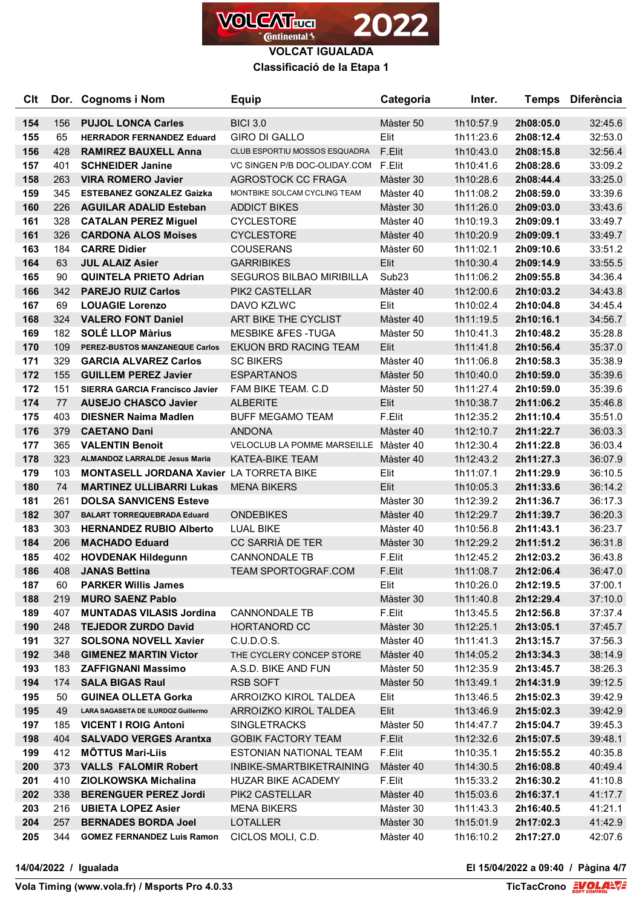

**Classificació de la Etapa 1**

| Clt        |           | Dor. Cognoms i Nom                                              | Equip                                   | Categoria         | Inter.                 |                        | Temps Diferència   |
|------------|-----------|-----------------------------------------------------------------|-----------------------------------------|-------------------|------------------------|------------------------|--------------------|
|            |           |                                                                 |                                         |                   |                        |                        |                    |
| 154        | 156<br>65 | <b>PUJOL LONCA Carles</b>                                       | <b>BICI 3.0</b><br><b>GIRO DI GALLO</b> | Màster 50         | 1h10:57.9              | 2h08:05.0<br>2h08:12.4 | 32:45.6            |
| 155<br>156 | 428       | <b>HERRADOR FERNANDEZ Eduard</b><br><b>RAMIREZ BAUXELL Anna</b> | CLUB ESPORTIU MOSSOS ESQUADRA           | Elit<br>F.Elit    | 1h11:23.6<br>1h10:43.0 | 2h08:15.8              | 32:53.0<br>32:56.4 |
| 157        | 401       | <b>SCHNEIDER Janine</b>                                         | VC SINGEN P/B DOC-OLIDAY COM            | F.Elit            | 1h10:41.6              | 2h08:28.6              | 33:09.2            |
| 158        | 263       | <b>VIRA ROMERO Javier</b>                                       | AGROSTOCK CC FRAGA                      | Màster 30         | 1h10:28.6              | 2h08:44.4              | 33:25.0            |
| 159        | 345       | <b>ESTEBANEZ GONZALEZ Gaizka</b>                                | MONTBIKE SOLCAM CYCLING TEAM            | Màster 40         | 1h11:08.2              | 2h08:59.0              | 33:39.6            |
| 160        | 226       | <b>AGUILAR ADALID Esteban</b>                                   | <b>ADDICT BIKES</b>                     | Màster 30         | 1h11:26.0              | 2h09:03.0              | 33:43.6            |
| 161        | 328       | <b>CATALAN PEREZ Miguel</b>                                     | <b>CYCLESTORE</b>                       | Màster 40         | 1h10:19.3              | 2h09:09.1              | 33:49.7            |
| 161        | 326       | <b>CARDONA ALOS Moises</b>                                      | <b>CYCLESTORE</b>                       | Màster 40         | 1h10:20.9              | 2h09:09.1              | 33:49.7            |
| 163        | 184       | <b>CARRE Didier</b>                                             | <b>COUSERANS</b>                        | Màster 60         | 1h11:02.1              | 2h09:10.6              | 33:51.2            |
| 164        | 63        | <b>JUL ALAIZ Asier</b>                                          | <b>GARRIBIKES</b>                       | Elit              | 1h10:30.4              | 2h09:14.9              | 33:55.5            |
| 165        | 90        | <b>QUINTELA PRIETO Adrian</b>                                   | <b>SEGUROS BILBAO MIRIBILLA</b>         | Sub <sub>23</sub> | 1h11:06.2              | 2h09:55.8              | 34:36.4            |
| 166        | 342       | <b>PAREJO RUIZ Carlos</b>                                       | PIK2 CASTELLAR                          | Màster 40         | 1h12:00.6              | 2h10:03.2              | 34:43.8            |
| 167        | 69        | <b>LOUAGIE Lorenzo</b>                                          | DAVO KZLWC                              | Elit              | 1h10:02.4              | 2h10:04.8              | 34:45.4            |
| 168        | 324       | <b>VALERO FONT Daniel</b>                                       | ART BIKE THE CYCLIST                    | Màster 40         | 1h11:19.5              | 2h10:16.1              | 34:56.7            |
| 169        | 182       | <b>SOLÉ LLOP Màrius</b>                                         | <b>MESBIKE &amp;FES-TUGA</b>            | Màster 50         | 1h10:41.3              | 2h10:48.2              | 35:28.8            |
| 170        | 109       | PEREZ-BUSTOS MANZANEQUE Carlos                                  | <b>EKUON BRD RACING TEAM</b>            | Elit              | 1h11:41.8              | 2h10:56.4              | 35:37.0            |
| 171        | 329       | <b>GARCIA ALVAREZ Carlos</b>                                    | <b>SC BIKERS</b>                        | Màster 40         | 1h11:06.8              | 2h10:58.3              | 35:38.9            |
| 172        | 155       | <b>GUILLEM PEREZ Javier</b>                                     | <b>ESPARTANOS</b>                       | Màster 50         | 1h10:40.0              | 2h10:59.0              | 35:39.6            |
| 172        | 151       | <b>SIERRA GARCIA Francisco Javier</b>                           | FAM BIKE TEAM. C.D                      | Màster 50         | 1h11:27.4              | 2h10:59.0              | 35:39.6            |
| 174        | 77        | <b>AUSEJO CHASCO Javier</b>                                     | <b>ALBERITE</b>                         | Elit              | 1h10:38.7              | 2h11:06.2              | 35:46.8            |
| 175        | 403       | <b>DIESNER Naima Madlen</b>                                     | <b>BUFF MEGAMO TEAM</b>                 | F.Elit            | 1h12:35.2              | 2h11:10.4              | 35:51.0            |
| 176        | 379       | <b>CAETANO Dani</b>                                             | <b>ANDONA</b>                           | Màster 40         | 1h12:10.7              | 2h11:22.7              | 36:03.3            |
| 177        | 365       | <b>VALENTIN Benoit</b>                                          | VELOCLUB LA POMME MARSEILLE             | Màster 40         | 1h12:30.4              | 2h11:22.8              | 36:03.4            |
| 178        | 323       | <b>ALMANDOZ LARRALDE Jesus Maria</b>                            | <b>KATEA-BIKE TEAM</b>                  | Màster 40         | 1h12:43.2              | 2h11:27.3              | 36:07.9            |
| 179        | 103       | <b>MONTASELL JORDANA Xavier LA TORRETA BIKE</b>                 |                                         | Elit              | 1h11:07.1              | 2h11:29.9              | 36:10.5            |
| 180        | 74        | <b>MARTINEZ ULLIBARRI Lukas</b>                                 | <b>MENA BIKERS</b>                      | Elit              | 1h10:05.3              | 2h11:33.6              | 36:14.2            |
| 181        | 261       | <b>DOLSA SANVICENS Esteve</b>                                   |                                         | Màster 30         | 1h12:39.2              | 2h11:36.7              | 36:17.3            |
| 182        | 307       | <b>BALART TORREQUEBRADA Eduard</b>                              | <b>ONDEBIKES</b>                        | Màster 40         | 1h12:29.7              | 2h11:39.7              | 36:20.3            |
| 183        | 303       | <b>HERNANDEZ RUBIO Alberto</b>                                  | <b>LUAL BIKE</b>                        | Màster 40         | 1h10:56.8              | 2h11:43.1              | 36:23.7            |
| 184        | 206       | <b>MACHADO Eduard</b>                                           | CC SARRIÀ DE TER                        | Màster 30         | 1h12:29.2              | 2h11:51.2              | 36:31.8            |
| 185        | 402       | <b>HOVDENAK Hildegunn</b>                                       | <b>CANNONDALE TB</b>                    | F.Elit            | 1h12:45.2              | 2h12:03.2              | 36:43.8            |
| 186        | 408       | <b>JANAS Bettina</b>                                            | <b>TEAM SPORTOGRAF.COM</b>              | F.Elit            | 1h11:08.7              | 2h12:06.4              | 36:47.0            |
| 187        | 60        | <b>PARKER Willis James</b>                                      |                                         | Elit              | 1h10:26.0              | 2h12:19.5              | 37:00.1            |
| 188        | 219       | <b>MURO SAENZ Pablo</b>                                         |                                         | Màster 30         | 1h11:40.8              | 2h12:29.4              | 37:10.0            |
| 189        | 407       | <b>MUNTADAS VILASIS Jordina</b>                                 | <b>CANNONDALE TB</b>                    | F.Elit            | 1h13:45.5              | 2h12:56.8              | 37:37.4            |
| 190        | 248       | <b>TEJEDOR ZURDO David</b>                                      | HORTANORD CC                            | Màster 30         | 1h12:25.1              | 2h13:05.1              | 37:45.7            |
| 191        | 327       | <b>SOLSONA NOVELL Xavier</b>                                    | C.U.D.O.S.                              | Màster 40         | 1h11:41.3              | 2h13:15.7              | 37:56.3            |
| 192        | 348       | <b>GIMENEZ MARTIN Victor</b>                                    | THE CYCLERY CONCEP STORE                | Màster 40         | 1h14:05.2              | 2h13:34.3              | 38:14.9            |
| 193        | 183       | <b>ZAFFIGNANI Massimo</b>                                       | A.S.D. BIKE AND FUN                     | Màster 50         | 1h12:35.9              | 2h13:45.7              | 38:26.3            |
| 194        | 174       | <b>SALA BIGAS Raul</b>                                          | <b>RSB SOFT</b>                         | Màster 50         | 1h13:49.1              | 2h14:31.9              | 39:12.5            |
| 195        | 50        | <b>GUINEA OLLETA Gorka</b>                                      | ARROIZKO KIROL TALDEA                   | Elit              | 1h13:46.5              | 2h15:02.3              | 39:42.9            |
| 195        | 49        | LARA SAGASETA DE ILURDOZ Guillermo                              | ARROIZKO KIROL TALDEA                   | Elit              | 1h13:46.9              | 2h15:02.3              | 39:42.9            |
| 197        | 185       | <b>VICENT I ROIG Antoni</b>                                     | <b>SINGLETRACKS</b>                     | Màster 50         | 1h14:47.7              | 2h15:04.7              | 39:45.3            |
| 198        | 404       | <b>SALVADO VERGES Arantxa</b>                                   | <b>GOBIK FACTORY TEAM</b>               | F.Elit            | 1h12:32.6              | 2h15:07.5              | 39:48.1            |
| 199        | 412       | <b>MÕTTUS Mari-Liis</b>                                         | <b>ESTONIAN NATIONAL TEAM</b>           | F.Elit            | 1h10:35.1              | 2h15:55.2              | 40:35.8            |
| 200        | 373       | <b>VALLS FALOMIR Robert</b>                                     | INBIKE-SMARTBIKETRAINING                | Màster 40         | 1h14:30.5              | 2h16:08.8              | 40:49.4            |
| 201        | 410       | ZIOLKOWSKA Michalina                                            | HUZAR BIKE ACADEMY                      | F.Elit            | 1h15:33.2              | 2h16:30.2              | 41:10.8            |
| 202        | 338       | <b>BERENGUER PEREZ Jordi</b>                                    | PIK2 CASTELLAR                          | Màster 40         | 1h15:03.6              | 2h16:37.1              | 41:17.7            |
| 203        | 216       | <b>UBIETA LOPEZ Asier</b>                                       | <b>MENA BIKERS</b>                      | Màster 30         | 1h11:43.3              | 2h16:40.5              | 41:21.1            |
| 204        | 257       | <b>BERNADES BORDA Joel</b>                                      | LOTALLER                                | Màster 30         | 1h15:01.9              | 2h17:02.3              | 41:42.9            |
| 205        | 344       | <b>GOMEZ FERNANDEZ Luis Ramon</b>                               | CICLOS MOLI, C.D.                       | Màster 40         | 1h16:10.2              | 2h17:27.0              | 42:07.6            |

**14/04/2022 / Igualada El 15/04/2022 a 09:40 / Pàgina 4/7**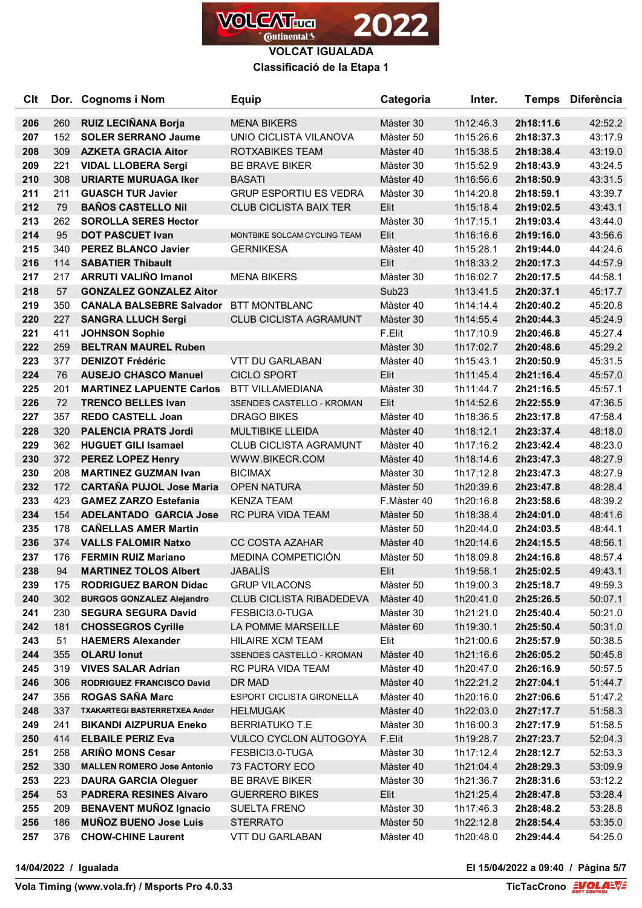

**Classificació de la Etapa 1**

| <b>C<sub>It</sub></b> |     | Dor. Cognoms i Nom                   | <b>Equip</b>                     | Categoria         | Inter.    |           | Temps Diferència |
|-----------------------|-----|--------------------------------------|----------------------------------|-------------------|-----------|-----------|------------------|
|                       |     |                                      |                                  |                   |           |           |                  |
| 206                   | 260 | RUIZ LECIÑANA Borja                  | <b>MENA BIKERS</b>               | Màster 30         | 1h12:46.3 | 2h18:11.6 | 42:52.2          |
| 207                   | 152 | <b>SOLER SERRANO Jaume</b>           | UNIO CICLISTA VILANOVA           | Màster 50         | 1h15:26.6 | 2h18:37.3 | 43:17.9          |
| 208                   | 309 | <b>AZKETA GRACIA Aitor</b>           | ROTXABIKES TEAM                  | Màster 40         | 1h15:38.5 | 2h18:38.4 | 43:19.0          |
| 209                   | 221 | <b>VIDAL LLOBERA Sergi</b>           | <b>BE BRAVE BIKER</b>            | Màster 30         | 1h15:52.9 | 2h18:43.9 | 43:24.5          |
| 210                   | 308 | <b>URIARTE MURUAGA Iker</b>          | <b>BASATI</b>                    | Màster 40         | 1h16:56.6 | 2h18:50.9 | 43:31.5          |
| 211                   | 211 | <b>GUASCH TUR Javier</b>             | <b>GRUP ESPORTIU ES VEDRA</b>    | Màster 30         | 1h14:20.8 | 2h18:59.1 | 43:39.7          |
| 212                   | 79  | <b>BAÑOS CASTELLO Nil</b>            | <b>CLUB CICLISTA BAIX TER</b>    | Elit              | 1h15:18.4 | 2h19:02.5 | 43:43.1          |
| 213                   | 262 | <b>SOROLLA SERES Hector</b>          |                                  | Màster 30         | 1h17:15.1 | 2h19:03.4 | 43:44.0          |
| 214                   | 95  | <b>DOT PASCUET Ivan</b>              | MONTBIKE SOLCAM CYCLING TEAM     | Elit              | 1h16:16.6 | 2h19:16.0 | 43:56.6          |
| 215                   | 340 | <b>PEREZ BLANCO Javier</b>           | <b>GERNIKESA</b>                 | Màster 40         | 1h15:28.1 | 2h19:44.0 | 44:24.6          |
| 216                   | 114 | <b>SABATIER Thibault</b>             |                                  | Elit              | 1h18:33.2 | 2h20:17.3 | 44:57.9          |
| 217                   | 217 | <b>ARRUTI VALIÑO Imanol</b>          | <b>MENA BIKERS</b>               | Màster 30         | 1h16:02.7 | 2h20:17.5 | 44:58.1          |
| 218                   | 57  | <b>GONZALEZ GONZALEZ Aitor</b>       |                                  | Sub <sub>23</sub> | 1h13:41.5 | 2h20:37.1 | 45:17.7          |
| 219                   | 350 | <b>CANALA BALSEBRE Salvador</b>      | <b>BTT MONTBLANC</b>             | Màster 40         | 1h14:14.4 | 2h20:40.2 | 45:20.8          |
| 220                   | 227 | <b>SANGRA LLUCH Sergi</b>            | <b>CLUB CICLISTA AGRAMUNT</b>    | Màster 30         | 1h14:55.4 | 2h20:44.3 | 45:24.9          |
| 221                   | 411 | <b>JOHNSON Sophie</b>                |                                  | F.Elit            | 1h17:10.9 | 2h20:46.8 | 45:27.4          |
| 222                   | 259 | <b>BELTRAN MAUREL Ruben</b>          |                                  | Màster 30         | 1h17:02.7 | 2h20:48.6 | 45:29.2          |
| 223                   | 377 | <b>DENIZOT Frédéric</b>              | <b>VTT DU GARLABAN</b>           | Màster 40         | 1h15:43.1 | 2h20:50.9 | 45:31.5          |
| 224                   | 76  | <b>AUSEJO CHASCO Manuel</b>          | <b>CICLO SPORT</b>               | Elit              | 1h11:45.4 | 2h21:16.4 | 45:57.0          |
| 225                   | 201 | <b>MARTINEZ LAPUENTE Carlos</b>      | <b>BTT VILLAMEDIANA</b>          | Màster 30         | 1h11:44.7 | 2h21:16.5 | 45:57.1          |
| 226                   | 72  | <b>TRENCO BELLES Ivan</b>            | 3SENDES CASTELLO - KROMAN        | Elit              | 1h14:52.6 | 2h22:55.9 | 47:36.5          |
| 227                   | 357 | <b>REDO CASTELL Joan</b>             | <b>DRAGO BIKES</b>               | Màster 40         | 1h18:36.5 | 2h23:17.8 | 47:58.4          |
| 228                   | 320 | <b>PALENCIA PRATS Jordi</b>          | MULTIBIKE LLEIDA                 | Màster 40         | 1h18:12.1 | 2h23:37.4 | 48:18.0          |
| 229                   | 362 | <b>HUGUET GILI Isamael</b>           | <b>CLUB CICLISTA AGRAMUNT</b>    | Màster 40         | 1h17:16.2 | 2h23:42.4 | 48:23.0          |
| 230                   | 372 | <b>PEREZ LOPEZ Henry</b>             | WWW.BIKECR.COM                   | Màster 40         | 1h18:14.6 | 2h23:47.3 | 48:27.9          |
| 230                   | 208 | <b>MARTINEZ GUZMAN Ivan</b>          | <b>BICIMAX</b>                   | Màster 30         | 1h17:12.8 | 2h23:47.3 | 48:27.9          |
| 232                   | 172 | <b>CARTAÑA PUJOL Jose Maria</b>      | <b>OPEN NATURA</b>               | Màster 50         | 1h20:39.6 | 2h23:47.8 | 48:28.4          |
| 233                   | 423 | <b>GAMEZ ZARZO Estefania</b>         | <b>KENZA TEAM</b>                | F.Màster 40       | 1h20:16.8 | 2h23:58.6 | 48:39.2          |
| 234                   | 154 | <b>ADELANTADO GARCIA Jose</b>        | RC PURA VIDA TEAM                | Màster 50         | 1h18:38.4 | 2h24:01.0 | 48:41.6          |
| 235                   | 178 | <b>CAÑELLAS AMER Martin</b>          |                                  | Màster 50         | 1h20:44.0 | 2h24:03.5 | 48:44.1          |
| 236                   | 374 | <b>VALLS FALOMIR Natxo</b>           | <b>CC COSTA AZAHAR</b>           | Màster 40         | 1h20:14.6 | 2h24:15.5 | 48:56.1          |
| 237                   | 176 | <b>FERMIN RUIZ Mariano</b>           | MEDINA COMPETICIÓN               | Màster 50         | 1h18:09.8 | 2h24:16.8 | 48:57.4          |
| 238                   | 94  | <b>MARTINEZ TOLOS Albert</b>         | <b>JABALÍS</b>                   | Elit              | 1h19:58.1 | 2h25:02.5 | 49:43.1          |
| 239                   | 175 | <b>RODRIGUEZ BARON Didac</b>         | <b>GRUP VILACONS</b>             | Màster 50         | 1h19:00.3 | 2h25:18.7 | 49:59.3          |
| 240                   | 302 | <b>BURGOS GONZALEZ Alejandro</b>     | <b>CLUB CICLISTA RIBADEDEVA</b>  | Màster 40         | 1h20:41.0 | 2h25:26.5 | 50:07.1          |
| 241                   | 230 | <b>SEGURA SEGURA David</b>           | FESBICI3.0-TUGA                  | Màster 30         | 1h21:21.0 | 2h25:40.4 | 50:21.0          |
| 242                   | 181 | <b>CHOSSEGROS Cyrille</b>            | LA POMME MARSEILLE               | Màster 60         | 1h19:30.1 | 2h25:50.4 | 50:31.0          |
| 243                   | 51  | <b>HAEMERS Alexander</b>             | <b>HILAIRE XCM TEAM</b>          | Elit              | 1h21:00.6 | 2h25:57.9 | 50:38.5          |
| 244                   | 355 | <b>OLARU lonut</b>                   | 3SENDES CASTELLO - KROMAN        | Màster 40         | 1h21:16.6 | 2h26:05.2 | 50:45.8          |
| 245                   | 319 | <b>VIVES SALAR Adrian</b>            | RC PURA VIDA TEAM                | Màster 40         | 1h20:47.0 | 2h26:16.9 | 50:57.5          |
| 246                   | 306 | <b>RODRIGUEZ FRANCISCO David</b>     | DR MAD                           | Màster 40         | 1h22:21.2 | 2h27:04.1 | 51:44.7          |
| 247                   | 356 | <b>ROGAS SAÑA Marc</b>               | <b>ESPORT CICLISTA GIRONELLA</b> | Màster 40         | 1h20:16.0 | 2h27:06.6 | 51:47.2          |
| 248                   | 337 | <b>TXAKARTEGI BASTERRETXEA Ander</b> | <b>HELMUGAK</b>                  | Màster 40         | 1h22:03.0 | 2h27:17.7 | 51:58.3          |
| 249                   | 241 | <b>BIKANDI AIZPURUA Eneko</b>        | <b>BERRIATUKO T.E</b>            | Màster 30         | 1h16:00.3 | 2h27:17.9 | 51:58.5          |
| 250                   | 414 | <b>ELBAILE PERIZ Eva</b>             | VULCO CYCLON AUTOGOYA            | F.Elit            | 1h19:28.7 | 2h27:23.7 | 52:04.3          |
| 251                   | 258 | <b>ARIÑO MONS Cesar</b>              | FESBICI3.0-TUGA                  | Màster 30         | 1h17:12.4 | 2h28:12.7 | 52:53.3          |
| 252                   | 330 | <b>MALLEN ROMERO Jose Antonio</b>    | 73 FACTORY ECO                   | Màster 40         | 1h21:04.4 | 2h28:29.3 | 53:09.9          |
| 253                   | 223 | <b>DAURA GARCIA Oleguer</b>          | BE BRAVE BIKER                   | Màster 30         | 1h21:36.7 | 2h28:31.6 | 53:12.2          |
| 254                   | 53  | <b>PADRERA RESINES Alvaro</b>        | <b>GUERRERO BIKES</b>            | Elit              | 1h21:25.4 | 2h28:47.8 | 53:28.4          |
| 255                   | 209 | <b>BENAVENT MUÑOZ Ignacio</b>        | <b>SUELTA FRENO</b>              | Màster 30         | 1h17:46.3 | 2h28:48.2 | 53:28.8          |
| 256                   | 186 | <b>MUÑOZ BUENO Jose Luis</b>         | <b>STERRATO</b>                  | Màster 50         | 1h22:12.8 | 2h28:54.4 | 53:35.0          |
| 257                   | 376 | <b>CHOW-CHINE Laurent</b>            | VTT DU GARLABAN                  | Màster 40         | 1h20:48.0 | 2h29:44.4 | 54:25.0          |

**14/04/2022 / Igualada El 15/04/2022 a 09:40 / Pàgina 5/7**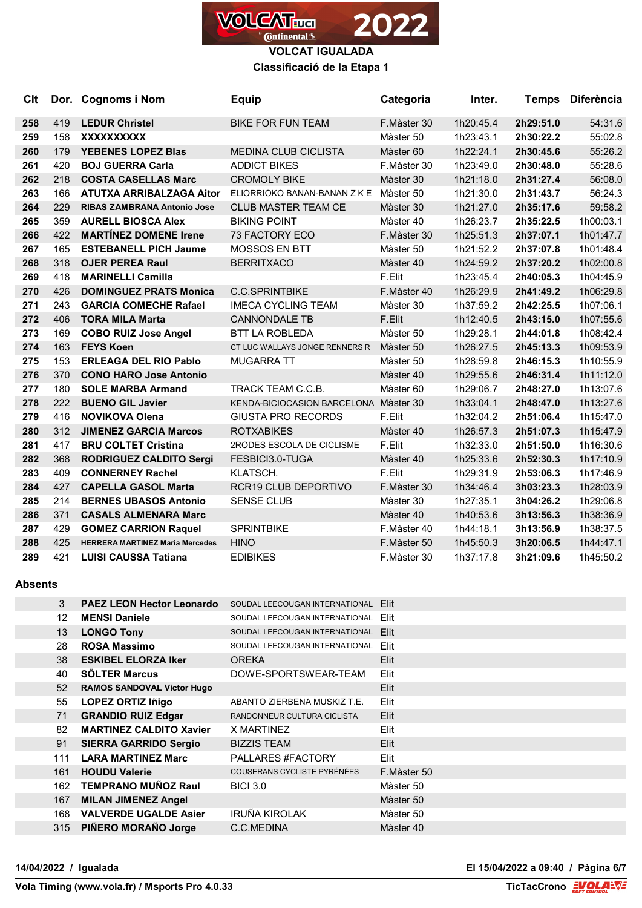

## **Classificació de la Etapa 1**

| C <sub>it</sub> |     | Dor. Cognoms i Nom                     | <b>Equip</b>                          | Categoria   | Inter.    |           | Temps Diferència |
|-----------------|-----|----------------------------------------|---------------------------------------|-------------|-----------|-----------|------------------|
| 258             | 419 | <b>LEDUR Christel</b>                  | <b>BIKE FOR FUN TEAM</b>              | F.Màster 30 | 1h20:45.4 | 2h29:51.0 | 54:31.6          |
| 259             | 158 | <b>XXXXXXXXXX</b>                      |                                       | Màster 50   | 1h23:43.1 | 2h30:22.2 | 55:02.8          |
| 260             | 179 | <b>YEBENES LOPEZ Blas</b>              | <b>MEDINA CLUB CICLISTA</b>           | Màster 60   | 1h22:24.1 | 2h30:45.6 | 55:26.2          |
| 261             | 420 | <b>BOJ GUERRA Carla</b>                | <b>ADDICT BIKES</b>                   | F.Màster 30 | 1h23:49.0 | 2h30:48.0 | 55:28.6          |
| 262             | 218 | <b>COSTA CASELLAS Marc</b>             | <b>CROMOLY BIKE</b>                   | Màster 30   | 1h21:18.0 | 2h31:27.4 | 56:08.0          |
| 263             | 166 | ATUTXA ARRIBALZAGA Aitor               | ELIORRIOKO BANAN-BANAN Z K E          | Màster 50   | 1h21:30.0 | 2h31:43.7 | 56:24.3          |
| 264             | 229 | <b>RIBAS ZAMBRANA Antonio Jose</b>     | <b>CLUB MASTER TEAM CE</b>            | Màster 30   | 1h21:27.0 | 2h35:17.6 | 59:58.2          |
| 265             | 359 | <b>AURELL BIOSCA Alex</b>              | <b>BIKING POINT</b>                   | Màster 40   | 1h26:23.7 | 2h35:22.5 | 1h00:03.1        |
| 266             | 422 | <b>MARTÍNEZ DOMENE Irene</b>           | 73 FACTORY ECO                        | F.Màster 30 | 1h25:51.3 | 2h37:07.1 | 1h01:47.7        |
| 267             | 165 | <b>ESTEBANELL PICH Jaume</b>           | MOSSOS EN BTT                         | Màster 50   | 1h21:52.2 | 2h37:07.8 | 1h01:48.4        |
| 268             | 318 | <b>OJER PEREA Raul</b>                 | <b>BERRITXACO</b>                     | Màster 40   | 1h24:59.2 | 2h37:20.2 | 1h02:00.8        |
| 269             | 418 | <b>MARINELLI Camilla</b>               |                                       | F.Elit      | 1h23:45.4 | 2h40:05.3 | 1h04:45.9        |
| 270             | 426 | <b>DOMINGUEZ PRATS Monica</b>          | <b>C.C.SPRINTBIKE</b>                 | F.Màster 40 | 1h26:29.9 | 2h41:49.2 | 1h06:29.8        |
| 271             | 243 | <b>GARCIA COMECHE Rafael</b>           | <b>IMECA CYCLING TEAM</b>             | Màster 30   | 1h37:59.2 | 2h42:25.5 | 1h07:06.1        |
| 272             | 406 | <b>TORA MILA Marta</b>                 | <b>CANNONDALE TB</b>                  | F.Elit      | 1h12:40.5 | 2h43:15.0 | 1h07:55.6        |
| 273             | 169 | <b>COBO RUIZ Jose Angel</b>            | <b>BTT LA ROBLEDA</b>                 | Màster 50   | 1h29:28.1 | 2h44:01.8 | 1h08:42.4        |
| 274             | 163 | <b>FEYS Koen</b>                       | CT LUC WALLAYS JONGE RENNERS R        | Màster 50   | 1h26:27.5 | 2h45:13.3 | 1h09:53.9        |
| 275             | 153 | <b>ERLEAGA DEL RIO Pablo</b>           | <b>MUGARRA TT</b>                     | Màster 50   | 1h28:59.8 | 2h46:15.3 | 1h10:55.9        |
| 276             | 370 | <b>CONO HARO Jose Antonio</b>          |                                       | Màster 40   | 1h29:55.6 | 2h46:31.4 | 1h11:12.0        |
| 277             | 180 | <b>SOLE MARBA Armand</b>               | TRACK TEAM C.C.B.                     | Màster 60   | 1h29:06.7 | 2h48:27.0 | 1h13:07.6        |
| 278             | 222 | <b>BUENO GIL Javier</b>                | KENDA-BICIOCASION BARCELONA Màster 30 |             | 1h33:04.1 | 2h48:47.0 | 1h13:27.6        |
| 279             | 416 | <b>NOVIKOVA Olena</b>                  | <b>GIUSTA PRO RECORDS</b>             | F.Elit      | 1h32:04.2 | 2h51:06.4 | 1h15:47.0        |
| 280             | 312 | <b>JIMENEZ GARCIA Marcos</b>           | <b>ROTXABIKES</b>                     | Màster 40   | 1h26:57.3 | 2h51:07.3 | 1h15:47.9        |
| 281             | 417 | <b>BRU COLTET Cristina</b>             | 2RODES ESCOLA DE CICLISME             | F.Elit      | 1h32:33.0 | 2h51:50.0 | 1h16:30.6        |
| 282             | 368 | <b>RODRIGUEZ CALDITO Sergi</b>         | FESBICI3.0-TUGA                       | Màster 40   | 1h25:33.6 | 2h52:30.3 | 1h17:10.9        |
| 283             | 409 | <b>CONNERNEY Rachel</b>                | KLATSCH.                              | F.Elit      | 1h29:31.9 | 2h53:06.3 | 1h17:46.9        |
| 284             | 427 | <b>CAPELLA GASOL Marta</b>             | <b>RCR19 CLUB DEPORTIVO</b>           | F.Màster 30 | 1h34:46.4 | 3h03:23.3 | 1h28:03.9        |
| 285             | 214 | <b>BERNES UBASOS Antonio</b>           | <b>SENSE CLUB</b>                     | Màster 30   | 1h27:35.1 | 3h04:26.2 | 1h29:06.8        |
| 286             | 371 | <b>CASALS ALMENARA Marc</b>            |                                       | Màster 40   | 1h40:53.6 | 3h13:56.3 | 1h38:36.9        |
| 287             | 429 | <b>GOMEZ CARRION Raquel</b>            | <b>SPRINTBIKE</b>                     | F.Màster 40 | 1h44:18.1 | 3h13:56.9 | 1h38:37.5        |
| 288             | 425 | <b>HERRERA MARTINEZ Maria Mercedes</b> | <b>HINO</b>                           | F.Màster 50 | 1h45:50.3 | 3h20:06.5 | 1h44:47.1        |
| 289             | 421 | <b>LUISI CAUSSA Tatiana</b>            | <b>EDIBIKES</b>                       | F.Màster 30 | 1h37:17.8 | 3h21:09.6 | 1h45:50.2        |

## **Absents**

| 3               | <b>PAEZ LEON Hector Leonardo</b>  | SOUDAL LEECOUGAN INTERNATIONAL | <b>Flit</b> |
|-----------------|-----------------------------------|--------------------------------|-------------|
| 12              | <b>MENSI Daniele</b>              | SOUDAL LEECOUGAN INTERNATIONAL | Elit        |
| 13              | <b>LONGO Tony</b>                 | SOUDAL LEECOUGAN INTERNATIONAL | Elit        |
| 28              | <b>ROSA Massimo</b>               | SOUDAL LEECOUGAN INTERNATIONAL | Elit        |
| 38              | <b>ESKIBEL ELORZA Iker</b>        | <b>OREKA</b>                   | Elit        |
| 40              | <b>SÖLTER Marcus</b>              | DOWE-SPORTSWEAR-TEAM           | Elit        |
| 52 <sub>2</sub> | <b>RAMOS SANDOVAL Victor Hugo</b> |                                | Elit        |
| 55              | <b>LOPEZ ORTIZ Iñigo</b>          | ABANTO ZIERBENA MUSKIZ T.E.    | Elit        |
| 71              | <b>GRANDIO RUIZ Edgar</b>         | RANDONNEUR CULTURA CICLISTA    | Elit        |
| 82              | <b>MARTINEZ CALDITO Xavier</b>    | X MARTINEZ                     | Elit        |
| 91              | <b>SIERRA GARRIDO Sergio</b>      | <b>BIZZIS TEAM</b>             | <b>Elit</b> |
| 111             | <b>LARA MARTINEZ Marc</b>         | PALLARES #FACTORY              | Elit        |
| 161             | <b>HOUDU Valerie</b>              | COUSERANS CYCLISTE PYRÉNÉES    | F.Màster 50 |
| 162             | <b>TEMPRANO MUÑOZ Raul</b>        | <b>BICI 3.0</b>                | Màster 50   |
| 167             | <b>MILAN JIMENEZ Angel</b>        |                                | Màster 50   |
| 168             | <b>VALVERDE UGALDE Asier</b>      | IRUÑA KIROLAK                  | Màster 50   |
| 315             | PIÑERO MORAÑO Jorge               | C.C.MEDINA                     | Màster 40   |
|                 |                                   |                                |             |

**14/04/2022 / Igualada El 15/04/2022 a 09:40 / Pàgina 6/7**